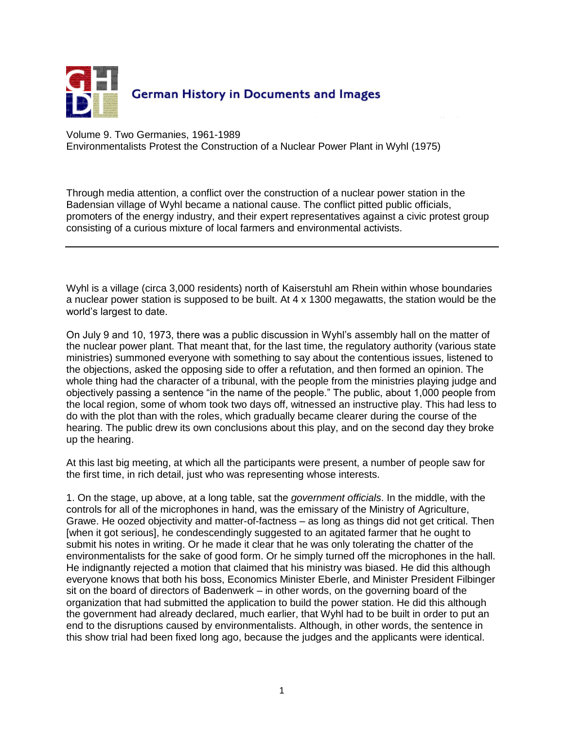

Volume 9. Two Germanies, 1961-1989 Environmentalists Protest the Construction of a Nuclear Power Plant in Wyhl (1975)

Through media attention, a conflict over the construction of a nuclear power station in the Badensian village of Wyhl became a national cause. The conflict pitted public officials, promoters of the energy industry, and their expert representatives against a civic protest group consisting of a curious mixture of local farmers and environmental activists.

Wyhl is a village (circa 3,000 residents) north of Kaiserstuhl am Rhein within whose boundaries a nuclear power station is supposed to be built. At 4 x 1300 megawatts, the station would be the world's largest to date.

On July 9 and 10, 1973, there was a public discussion in Wyhl's assembly hall on the matter of the nuclear power plant. That meant that, for the last time, the regulatory authority (various state ministries) summoned everyone with something to say about the contentious issues, listened to the objections, asked the opposing side to offer a refutation, and then formed an opinion. The whole thing had the character of a tribunal, with the people from the ministries playing judge and objectively passing a sentence "in the name of the people." The public, about 1,000 people from the local region, some of whom took two days off, witnessed an instructive play. This had less to do with the plot than with the roles, which gradually became clearer during the course of the hearing. The public drew its own conclusions about this play, and on the second day they broke up the hearing.

At this last big meeting, at which all the participants were present, a number of people saw for the first time, in rich detail, just who was representing whose interests.

1. On the stage, up above, at a long table, sat the *government officials*. In the middle, with the controls for all of the microphones in hand, was the emissary of the Ministry of Agriculture, Grawe. He oozed objectivity and matter-of-factness – as long as things did not get critical. Then [when it got serious], he condescendingly suggested to an agitated farmer that he ought to submit his notes in writing. Or he made it clear that he was only tolerating the chatter of the environmentalists for the sake of good form. Or he simply turned off the microphones in the hall. He indignantly rejected a motion that claimed that his ministry was biased. He did this although everyone knows that both his boss, Economics Minister Eberle, and Minister President Filbinger sit on the board of directors of Badenwerk – in other words, on the governing board of the organization that had submitted the application to build the power station. He did this although the government had already declared, much earlier, that Wyhl had to be built in order to put an end to the disruptions caused by environmentalists. Although, in other words, the sentence in this show trial had been fixed long ago, because the judges and the applicants were identical.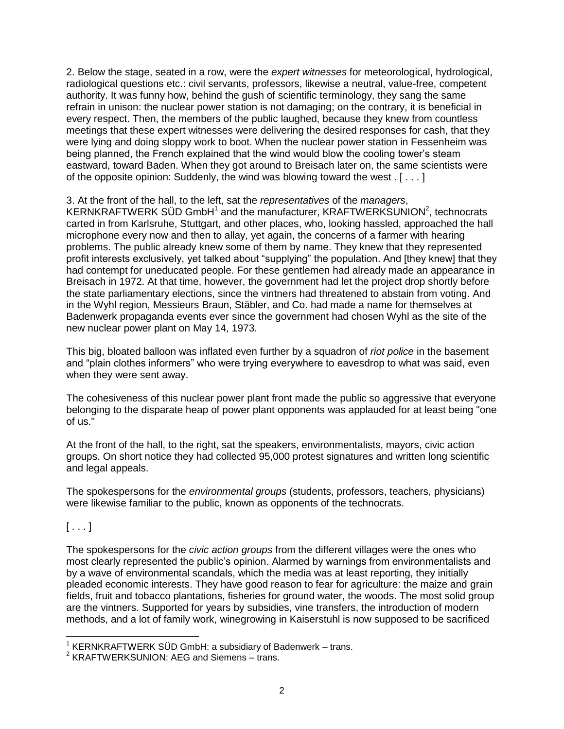2. Below the stage, seated in a row, were the *expert witnesses* for meteorological, hydrological, radiological questions etc.: civil servants, professors, likewise a neutral, value-free, competent authority. It was funny how, behind the gush of scientific terminology, they sang the same refrain in unison: the nuclear power station is not damaging; on the contrary, it is beneficial in every respect. Then, the members of the public laughed, because they knew from countless meetings that these expert witnesses were delivering the desired responses for cash, that they were lying and doing sloppy work to boot. When the nuclear power station in Fessenheim was being planned, the French explained that the wind would blow the cooling tower's steam eastward, toward Baden. When they got around to Breisach later on, the same scientists were of the opposite opinion: Suddenly, the wind was blowing toward the west . [ . . . ]

## 3. At the front of the hall, to the left, sat the *representatives* of the *managers*,

KERNKRAFTWERK SÜD GmbH<sup>1</sup> and the manufacturer, KRAFTWERKSUNION<sup>2</sup>, technocrats carted in from Karlsruhe, Stuttgart, and other places, who, looking hassled, approached the hall microphone every now and then to allay, yet again, the concerns of a farmer with hearing problems. The public already knew some of them by name. They knew that they represented profit interests exclusively, yet talked about "supplying" the population. And [they knew] that they had contempt for uneducated people. For these gentlemen had already made an appearance in Breisach in 1972. At that time, however, the government had let the project drop shortly before the state parliamentary elections, since the vintners had threatened to abstain from voting. And in the Wyhl region, Messieurs Braun, Stäbler, and Co. had made a name for themselves at Badenwerk propaganda events ever since the government had chosen Wyhl as the site of the new nuclear power plant on May 14, 1973.

This big, bloated balloon was inflated even further by a squadron of *riot police* in the basement and "plain clothes informers" who were trying everywhere to eavesdrop to what was said, even when they were sent away.

The cohesiveness of this nuclear power plant front made the public so aggressive that everyone belonging to the disparate heap of power plant opponents was applauded for at least being "one of us."

At the front of the hall, to the right, sat the speakers, environmentalists, mayors, civic action groups. On short notice they had collected 95,000 protest signatures and written long scientific and legal appeals.

The spokespersons for the *environmental groups* (students, professors, teachers, physicians) were likewise familiar to the public, known as opponents of the technocrats.

## $[...]$

 $\overline{a}$ 

The spokespersons for the *civic action groups* from the different villages were the ones who most clearly represented the public's opinion. Alarmed by warnings from environmentalists and by a wave of environmental scandals, which the media was at least reporting, they initially pleaded economic interests. They have good reason to fear for agriculture: the maize and grain fields, fruit and tobacco plantations, fisheries for ground water, the woods. The most solid group are the vintners. Supported for years by subsidies, vine transfers, the introduction of modern methods, and a lot of family work, winegrowing in Kaiserstuhl is now supposed to be sacrificed

<sup>&</sup>lt;sup>1</sup> KERNKRAFTWERK SÜD GmbH: a subsidiary of Badenwerk - trans.

<sup>&</sup>lt;sup>2</sup> KRAFTWERKSUNION: AEG and Siemens - trans.